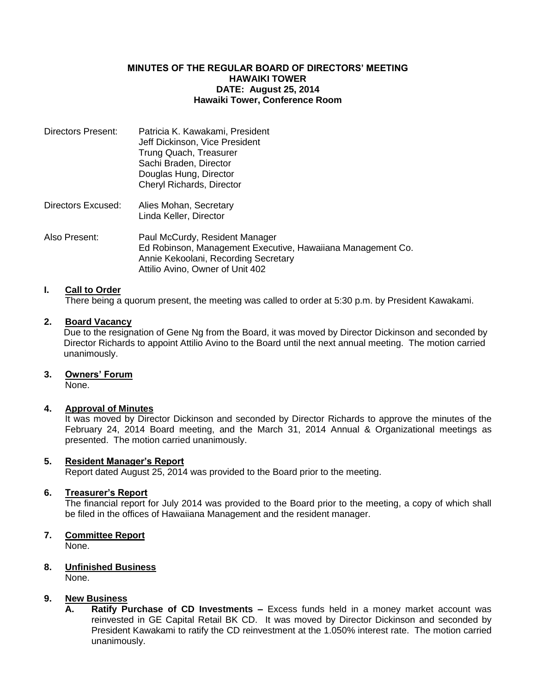## **MINUTES OF THE REGULAR BOARD OF DIRECTORS' MEETING HAWAIKI TOWER DATE: August 25, 2014 Hawaiki Tower, Conference Room**

| Directors Present: | Patricia K. Kawakami, President<br>Jeff Dickinson, Vice President<br>Trung Quach, Treasurer<br>Sachi Braden, Director<br>Douglas Hung, Director<br>Cheryl Richards, Director |
|--------------------|------------------------------------------------------------------------------------------------------------------------------------------------------------------------------|
| Directors Excused: | Alies Mohan, Secretary<br>Linda Keller, Director                                                                                                                             |
| Also Present:      | Paul McCurdy, Resident Manager<br>Ed Robinson, Management Executive, Hawaiiana Management Co.<br>Annie Kekoolani, Recording Secretary<br>Attilio Avino, Owner of Unit 402    |

# **I. Call to Order**

There being a quorum present, the meeting was called to order at 5:30 p.m. by President Kawakami.

## **2. Board Vacancy**

Due to the resignation of Gene Ng from the Board, it was moved by Director Dickinson and seconded by Director Richards to appoint Attilio Avino to the Board until the next annual meeting. The motion carried unanimously.

## **3. Owners' Forum**

None.

## **4. Approval of Minutes**

It was moved by Director Dickinson and seconded by Director Richards to approve the minutes of the February 24, 2014 Board meeting, and the March 31, 2014 Annual & Organizational meetings as presented. The motion carried unanimously.

## **5. Resident Manager's Report**

Report dated August 25, 2014 was provided to the Board prior to the meeting.

### **6. Treasurer's Report**

The financial report for July 2014 was provided to the Board prior to the meeting, a copy of which shall be filed in the offices of Hawaiiana Management and the resident manager.

## **7. Committee Report**

None.

#### **8. Unfinished Business** None.

## **9. New Business**

**A. Ratify Purchase of CD Investments –** Excess funds held in a money market account was reinvested in GE Capital Retail BK CD. It was moved by Director Dickinson and seconded by President Kawakami to ratify the CD reinvestment at the 1.050% interest rate. The motion carried unanimously.